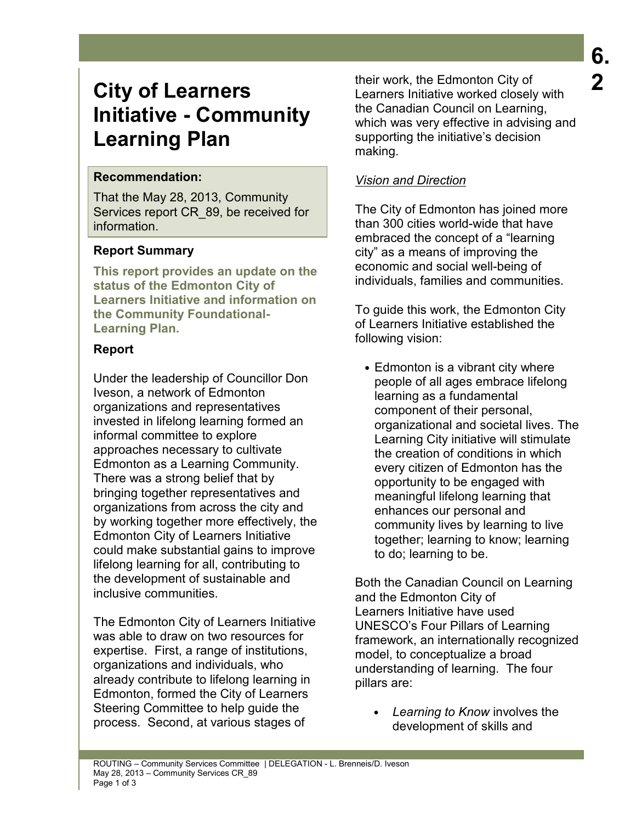# **City of Learners Initiative - Community Learning Plan**

# **Recommendation:**

That the May 28, 2013, Community Services report CR\_89, be received for information.

# **Report Summary**

**This report provides an update on the status of the Edmonton City of Learners Initiative and information on the Community Foundational-Learning Plan.** 

# **Report**

Under the leadership of Councillor Don Iveson, a network of Edmonton organizations and representatives invested in lifelong learning formed an informal committee to explore approaches necessary to cultivate Edmonton as a Learning Community. There was a strong belief that by bringing together representatives and organizations from across the city and by working together more effectively, the Edmonton City of Learners Initiative could make substantial gains to improve lifelong learning for all, contributing to the development of sustainable and inclusive communities.

The Edmonton City of Learners Initiative was able to draw on two resources for expertise. First, a range of institutions, organizations and individuals, who already contribute to lifelong learning in Edmonton, formed the City of Learners Steering Committee to help guide the process. Second, at various stages of

their work, the Edmonton City of Learners Initiative worked closely with the Canadian Council on Learning, which was very effective in advising and supporting the initiative's decision making.

# *Vision and Direction*

The City of Edmonton has joined more than 300 cities world-wide that have embraced the concept of a "learning city" as a means of improving the economic and social well-being of individuals, families and communities.

To guide this work, the Edmonton City of Learners Initiative established the following vision:

• Edmonton is a vibrant city where people of all ages embrace lifelong learning as a fundamental component of their personal, organizational and societal lives. The Learning City initiative will stimulate the creation of conditions in which every citizen of Edmonton has the opportunity to be engaged with meaningful lifelong learning that enhances our personal and community lives by learning to live together; learning to know; learning to do; learning to be.

Both the Canadian Council on Learning and the Edmonton City of Learners Initiative have used UNESCO's Four Pillars of Learning framework, an internationally recognized model, to conceptualize a broad understanding of learning. The four pillars are:

• *Learning to Know* involves the development of skills and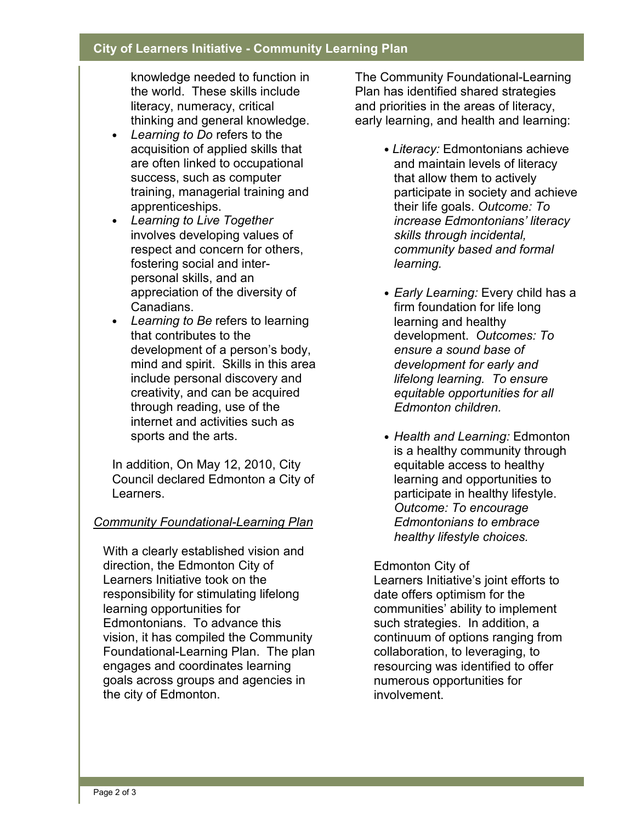#### **City of Learners Initiative - Community Learning Plan**

knowledge needed to function in the world. These skills include literacy, numeracy, critical thinking and general knowledge.

- *Learning to Do* refers to the acquisition of applied skills that are often linked to occupational success, such as computer training, managerial training and apprenticeships.
- *Learning to Live Together* involves developing values of respect and concern for others, fostering social and interpersonal skills, and an appreciation of the diversity of Canadians.
- *Learning to Be* refers to learning that contributes to the development of a person's body, mind and spirit. Skills in this area include personal discovery and creativity, and can be acquired through reading, use of the internet and activities such as sports and the arts.

In addition, On May 12, 2010, City Council declared Edmonton a City of Learners.

# *Community Foundational-Learning Plan*

With a clearly established vision and direction, the Edmonton City of Learners Initiative took on the responsibility for stimulating lifelong learning opportunities for Edmontonians. To advance this vision, it has compiled the Community Foundational-Learning Plan. The plan engages and coordinates learning goals across groups and agencies in the city of Edmonton.

The Community Foundational-Learning Plan has identified shared strategies and priorities in the areas of literacy, early learning, and health and learning:

- *Literacy:* Edmontonians achieve and maintain levels of literacy that allow them to actively participate in society and achieve their life goals. *Outcome: To increase Edmontonians' literacy skills through incidental, community based and formal learning.*
- *Early Learning:* Every child has a firm foundation for life long learning and healthy development. *Outcomes: To ensure a sound base of development for early and lifelong learning. To ensure equitable opportunities for all Edmonton children.*
- *Health and Learning:* Edmonton is a healthy community through equitable access to healthy learning and opportunities to participate in healthy lifestyle. *Outcome: To encourage Edmontonians to embrace healthy lifestyle choices.*

#### Edmonton City of

Learners Initiative's joint efforts to date offers optimism for the communities' ability to implement such strategies. In addition, a continuum of options ranging from collaboration, to leveraging, to resourcing was identified to offer numerous opportunities for involvement.